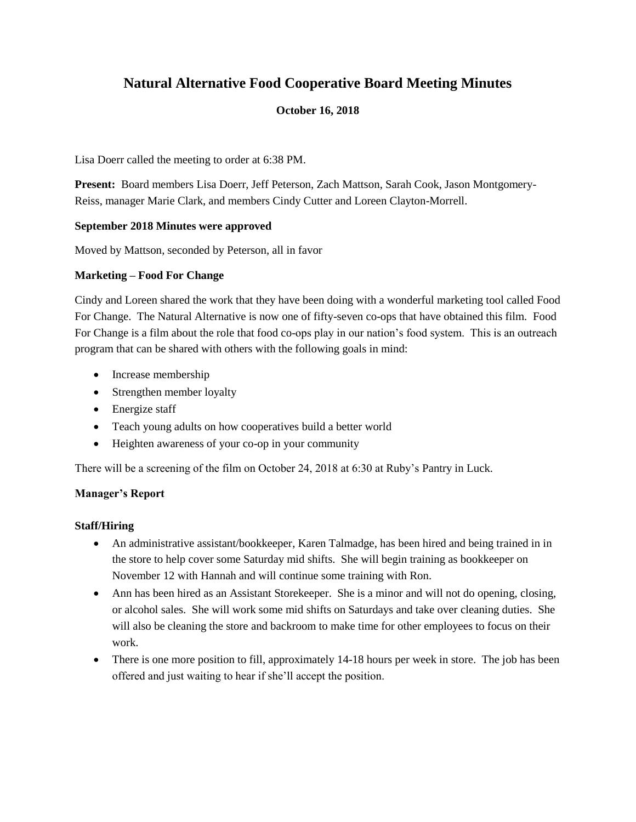# **Natural Alternative Food Cooperative Board Meeting Minutes**

# **October 16, 2018**

Lisa Doerr called the meeting to order at 6:38 PM.

**Present:** Board members Lisa Doerr, Jeff Peterson, Zach Mattson, Sarah Cook, Jason Montgomery-Reiss, manager Marie Clark, and members Cindy Cutter and Loreen Clayton-Morrell.

# **September 2018 Minutes were approved**

Moved by Mattson, seconded by Peterson, all in favor

# **Marketing – Food For Change**

Cindy and Loreen shared the work that they have been doing with a wonderful marketing tool called Food For Change. The Natural Alternative is now one of fifty-seven co-ops that have obtained this film. Food For Change is a film about the role that food co-ops play in our nation's food system. This is an outreach program that can be shared with others with the following goals in mind:

- Increase membership
- Strengthen member loyalty
- Energize staff
- Teach young adults on how cooperatives build a better world
- Heighten awareness of your co-op in your community

There will be a screening of the film on October 24, 2018 at 6:30 at Ruby's Pantry in Luck.

# **Manager's Report**

# **Staff/Hiring**

- An administrative assistant/bookkeeper, Karen Talmadge, has been hired and being trained in in the store to help cover some Saturday mid shifts. She will begin training as bookkeeper on November 12 with Hannah and will continue some training with Ron.
- Ann has been hired as an Assistant Storekeeper. She is a minor and will not do opening, closing, or alcohol sales. She will work some mid shifts on Saturdays and take over cleaning duties. She will also be cleaning the store and backroom to make time for other employees to focus on their work.
- There is one more position to fill, approximately 14-18 hours per week in store. The job has been offered and just waiting to hear if she'll accept the position.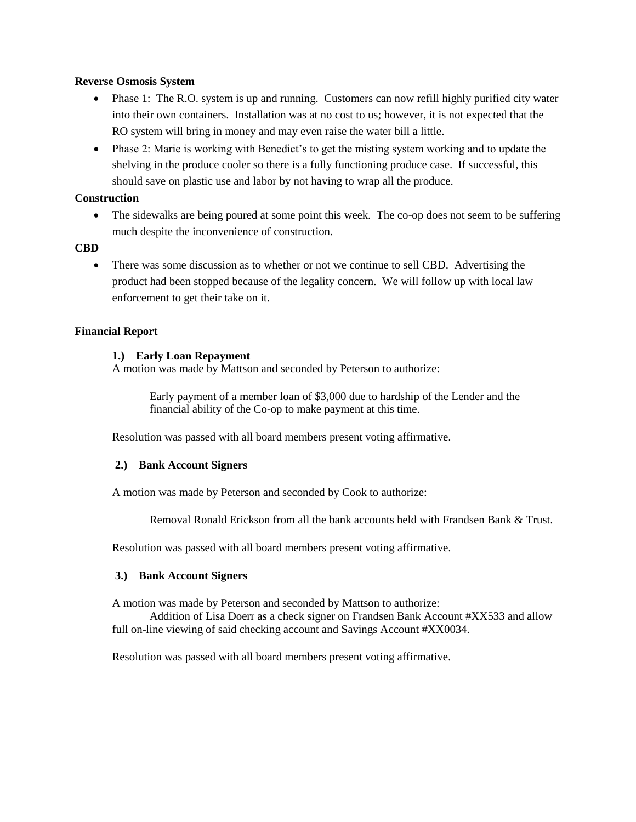#### **Reverse Osmosis System**

- Phase 1: The R.O. system is up and running. Customers can now refill highly purified city water into their own containers. Installation was at no cost to us; however, it is not expected that the RO system will bring in money and may even raise the water bill a little.
- Phase 2: Marie is working with Benedict's to get the misting system working and to update the shelving in the produce cooler so there is a fully functioning produce case. If successful, this should save on plastic use and labor by not having to wrap all the produce.

# **Construction**

• The sidewalks are being poured at some point this week. The co-op does not seem to be suffering much despite the inconvenience of construction.

# **CBD**

• There was some discussion as to whether or not we continue to sell CBD. Advertising the product had been stopped because of the legality concern. We will follow up with local law enforcement to get their take on it.

#### **Financial Report**

#### **1.) Early Loan Repayment**

A motion was made by Mattson and seconded by Peterson to authorize:

Early payment of a member loan of \$3,000 due to hardship of the Lender and the financial ability of the Co-op to make payment at this time.

Resolution was passed with all board members present voting affirmative.

#### **2.) Bank Account Signers**

A motion was made by Peterson and seconded by Cook to authorize:

Removal Ronald Erickson from all the bank accounts held with Frandsen Bank & Trust.

Resolution was passed with all board members present voting affirmative.

#### **3.) Bank Account Signers**

A motion was made by Peterson and seconded by Mattson to authorize:

Addition of Lisa Doerr as a check signer on Frandsen Bank Account #XX533 and allow full on-line viewing of said checking account and Savings Account #XX0034.

Resolution was passed with all board members present voting affirmative.